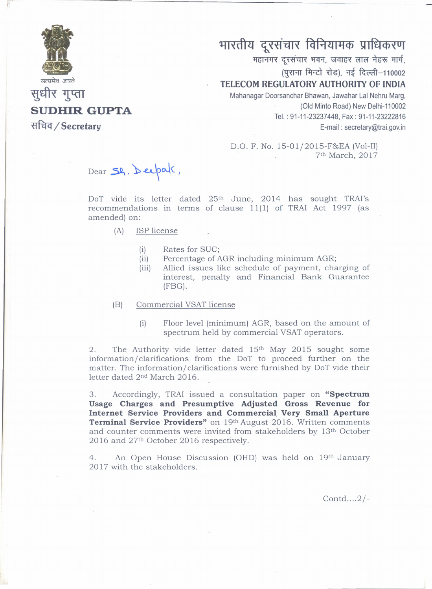

सुधीर गुप्ता

**~ / Secretary**

**SUDHIR GUPTA**

## भारतीय दूरसंचार विनियामक प्राधिकरण

**महानगर दूरसंचार भवन, जवाहर लाल नेहरू मार्ग,** (पुराना मिन्टो रोड), नई दिल्ली-110002

## **TELECOM REGULATORY AUTHORITY OF INDIA**

Mahanagar Doorsanchar Shawan, Jawahar Lal Nehru Marg, (Old Minto Road) New Oelhi-110002 Tel. : 91-11-23237448, Fax: 91-11-23222816 E-mail: secretary@trai.gov.in

D.O. F. No. 15-01/2015-F&EA (Vol-II) 7th March, 2017

Dear Sh. Deepal.

DoT vide its letter dated 25<sup>th</sup> June, 2014 has sought TRAI's recommendations in terms of clause 11(1) of TRAI Act 1997 (as amended) on:

- (A) ISP license
	- (i) Rates for SUC;
	- (ii) Percentage of AGR including minimum AGR;
	- (iii) Allied issues like schedule of payment, charging of interest, penalty and Financial Bank Guarantee (FBG).
- (B) Commercial VSAT license
	- (i) Floor level (minimum) AGR, based on the amount of spectrum held by commercial VSAT operators.

2. The Authority vide letter dated 15<sup>th</sup> May 2015 sought some information/ clarifications from the DoT to proceed further on the matter. The information/ clarifications were furnished by DoT vide their letter dated 2nd March 2016.

3. Accordingly, TRAI issued a consultation paper on **"Spectrum Usage Charges and Presumptive Adjusted Gross Revenue for Internet Service Providers and Commercial Very Small Aperture Terminal Service Providers"** on 19th August 2016. Written comments and counter comments were invited from stakeholders by 13th October 2016 and 27th October 2016 respectively.

4. An Open House Discussion (OHD) was held on 19th January 2017 with the stakeholders.

Contd....2/-